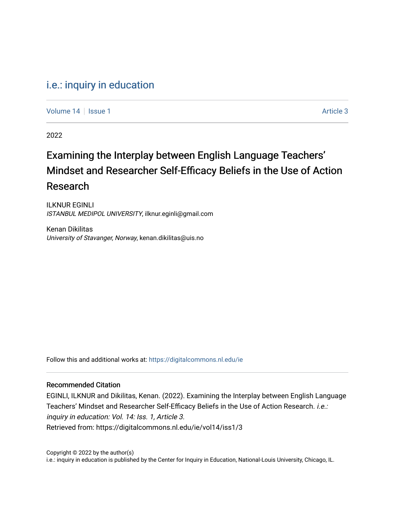### [i.e.: inquiry in education](https://digitalcommons.nl.edu/ie)

[Volume 14](https://digitalcommons.nl.edu/ie/vol14) | [Issue 1](https://digitalcommons.nl.edu/ie/vol14/iss1) Article 3

2022

## Examining the Interplay between English Language Teachers' Mindset and Researcher Self-Efficacy Beliefs in the Use of Action Research

ILKNUR EGINLI ISTANBUL MEDIPOL UNIVERSITY, ilknur.eginli@gmail.com

Kenan Dikilitas University of Stavanger, Norway, kenan.dikilitas@uis.no

Follow this and additional works at: [https://digitalcommons.nl.edu/ie](https://digitalcommons.nl.edu/ie?utm_source=digitalcommons.nl.edu%2Fie%2Fvol14%2Fiss1%2F3&utm_medium=PDF&utm_campaign=PDFCoverPages) 

#### Recommended Citation

EGINLI, ILKNUR and Dikilitas, Kenan. (2022). Examining the Interplay between English Language Teachers' Mindset and Researcher Self-Efficacy Beliefs in the Use of Action Research. i.e.: inquiry in education: Vol. 14: Iss. 1, Article 3. Retrieved from: https://digitalcommons.nl.edu/ie/vol14/iss1/3

Copyright © 2022 by the author(s) i.e.: inquiry in education is published by the Center for Inquiry in Education, National-Louis University, Chicago, IL.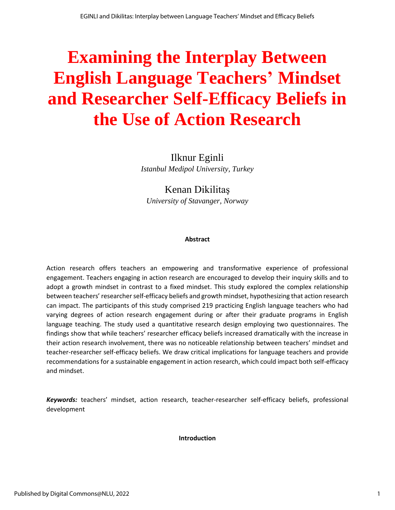# **Examining the Interplay Between English Language Teachers' Mindset and Researcher Self-Efficacy Beliefs in the Use of Action Research**

Ilknur Eginli *Istanbul Medipol University, Turkey*

Kenan Dikilitaş *University of Stavanger, Norway*

#### **Abstract**

Action research offers teachers an empowering and transformative experience of professional engagement. Teachers engaging in action research are encouraged to develop their inquiry skills and to adopt a growth mindset in contrast to a fixed mindset. This study explored the complex relationship between teachers' researcher self-efficacy beliefs and growth mindset, hypothesizing that action research can impact. The participants of this study comprised 219 practicing English language teachers who had varying degrees of action research engagement during or after their graduate programs in English language teaching. The study used a quantitative research design employing two questionnaires. The findings show that while teachers' researcher efficacy beliefs increased dramatically with the increase in their action research involvement, there was no noticeable relationship between teachers' mindset and teacher-researcher self-efficacy beliefs. We draw critical implications for language teachers and provide recommendations for a sustainable engagement in action research, which could impact both self-efficacy and mindset.

*Keywords:* teachers' mindset, action research, teacher-researcher self-efficacy beliefs, professional development

#### **Introduction**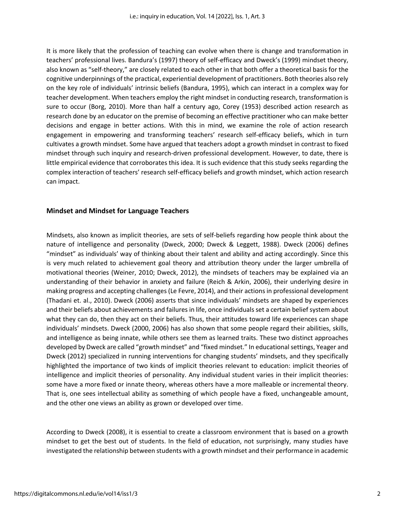It is more likely that the profession of teaching can evolve when there is change and transformation in teachers' professional lives. Bandura's (1997) theory of self-efficacy and Dweck's (1999) mindset theory, also known as "self-theory," are closely related to each other in that both offer a theoretical basis for the cognitive underpinnings of the practical, experiential development of practitioners. Both theories also rely on the key role of individuals' intrinsic beliefs (Bandura, 1995), which can interact in a complex way for teacher development. When teachers employ the right mindset in conducting research, transformation is sure to occur (Borg, 2010). More than half a century ago, Corey (1953) described action research as research done by an educator on the premise of becoming an effective practitioner who can make better decisions and engage in better actions. With this in mind, we examine the role of action research engagement in empowering and transforming teachers' research self-efficacy beliefs, which in turn cultivates a growth mindset. Some have argued that teachers adopt a growth mindset in contrast to fixed mindset through such inquiry and research-driven professional development. However, to date, there is little empirical evidence that corroborates this idea. It is such evidence that this study seeks regarding the complex interaction of teachers' research self-efficacy beliefs and growth mindset, which action research can impact.

#### **Mindset and Mindset for Language Teachers**

Mindsets, also known as implicit theories, are sets of self-beliefs regarding how people think about the nature of intelligence and personality (Dweck, 2000; Dweck & Leggett, 1988). Dweck (2006) defines "mindset" as individuals' way of thinking about their talent and ability and acting accordingly. Since this is very much related to achievement goal theory and attribution theory under the larger umbrella of motivational theories (Weiner, 2010; Dweck, 2012), the mindsets of teachers may be explained via an understanding of their behavior in anxiety and failure (Reich & Arkin, 2006), their underlying desire in making progress and accepting challenges (Le Fevre, 2014), and their actions in professional development (Thadani et. al., 2010). Dweck (2006) asserts that since individuals' mindsets are shaped by experiences and their beliefs about achievements and failures in life, once individuals set a certain belief system about what they can do, then they act on their beliefs. Thus, their attitudes toward life experiences can shape individuals' mindsets. Dweck (2000, 2006) has also shown that some people regard their abilities, skills, and intelligence as being innate, while others see them as learned traits. These two distinct approaches developed by Dweck are called "growth mindset" and "fixed mindset." In educational settings, Yeager and Dweck (2012) specialized in running interventions for changing students' mindsets, and they specifically highlighted the importance of two kinds of implicit theories relevant to education: implicit theories of intelligence and implicit theories of personality. Any individual student varies in their implicit theories: some have a more fixed or innate theory, whereas others have a more malleable or incremental theory. That is, one sees intellectual ability as something of which people have a fixed, unchangeable amount, and the other one views an ability as grown or developed over time.

According to Dweck (2008), it is essential to create a classroom environment that is based on a growth mindset to get the best out of students. In the field of education, not surprisingly, many studies have investigated the relationship between students with a growth mindset and their performance in academic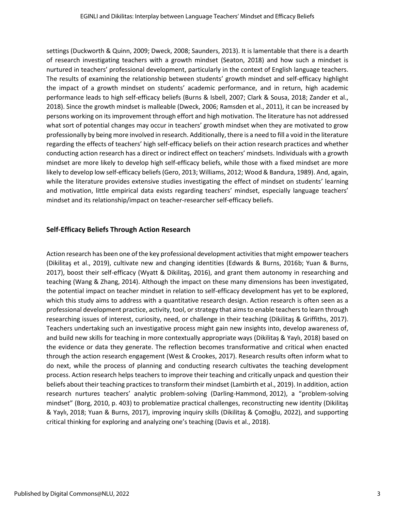settings (Duckworth & Quinn, 2009; Dweck, 2008; Saunders, 2013). It is lamentable that there is a dearth of research investigating teachers with a growth mindset (Seaton, 2018) and how such a mindset is nurtured in teachers' professional development, particularly in the context of English language teachers. The results of examining the relationship between students' growth mindset and self-efficacy highlight the impact of a growth mindset on students' academic performance, and in return, high academic performance leads to high self-efficacy beliefs (Burns & Isbell, 2007; Clark & Sousa, 2018; Zander et al., 2018). Since the growth mindset is malleable (Dweck, 2006; Ramsden et al., 2011), it can be increased by persons working on its improvement through effort and high motivation. The literature has not addressed what sort of potential changes may occur in teachers' growth mindset when they are motivated to grow professionally by being more involved in research. Additionally, there is a need to fill a void in the literature regarding the effects of teachers' high self-efficacy beliefs on their action research practices and whether conducting action research has a direct or indirect effect on teachers' mindsets. Individuals with a growth mindset are more likely to develop high self-efficacy beliefs, while those with a fixed mindset are more likely to develop low self-efficacy beliefs (Gero, 2013; Williams, 2012; Wood & Bandura, 1989). And, again, while the literature provides extensive studies investigating the effect of mindset on students' learning and motivation, little empirical data exists regarding teachers' mindset, especially language teachers' mindset and its relationship/impact on teacher-researcher self-efficacy beliefs.

#### **Self-Efficacy Beliefs Through Action Research**

Action research has been one of the key professional development activities that might empower teachers (Dikilitaş et al., 2019), cultivate new and changing identities (Edwards & Burns, 2016b; Yuan & Burns, 2017), boost their self-efficacy (Wyatt & Dikilitaş, 2016), and grant them autonomy in researching and teaching (Wang & Zhang, 2014). Although the impact on these many dimensions has been investigated, the potential impact on teacher mindset in relation to self-efficacy development has yet to be explored, which this study aims to address with a quantitative research design. Action research is often seen as a professional development practice, activity, tool, or strategy that aims to enable teachers to learn through researching issues of interest, curiosity, need, or challenge in their teaching (Dikilitaş & Griffiths, 2017). Teachers undertaking such an investigative process might gain new insights into, develop awareness of, and build new skills for teaching in more contextually appropriate ways (Dikilitaş & Yaylı, 2018) based on the evidence or data they generate. The reflection becomes transformative and critical when enacted through the action research engagement (West & Crookes, 2017). Research results often inform what to do next, while the process of planning and conducting research cultivates the teaching development process. Action research helps teachers to improve their teaching and critically unpack and question their beliefs about their teaching practices to transform their mindset (Lambirth et al., 2019). In addition, action research nurtures teachers' analytic problem-solving (Darling-Hammond, 2012), a "problem-solving mindset" (Borg, 2010, p. 403) to problematize practical challenges, reconstructing new identity (Dikilitaş & Yaylı, 2018; Yuan & Burns, 2017), improving inquiry skills (Dikilitaş & Çomoğlu, 2022), and supporting critical thinking for exploring and analyzing one's teaching (Davis et al., 2018).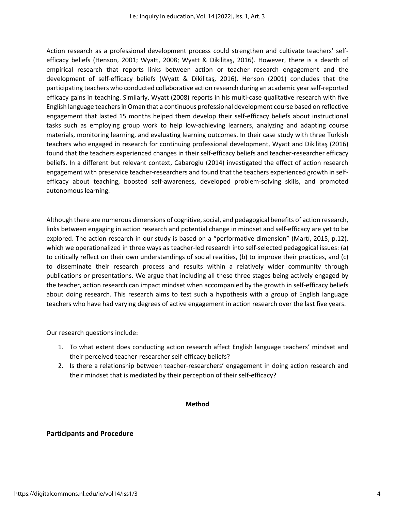Action research as a professional development process could strengthen and cultivate teachers' selfefficacy beliefs (Henson, 2001; Wyatt, 2008; Wyatt & Dikilitaş, 2016). However, there is a dearth of empirical research that reports links between action or teacher research engagement and the development of self-efficacy beliefs (Wyatt & Dikilitaş, 2016). Henson (2001) concludes that the participating teachers who conducted collaborative action research during an academic year self-reported efficacy gains in teaching. Similarly, Wyatt (2008) reports in his multi-case qualitative research with five English language teachers in Oman that a continuous professional development course based on reflective engagement that lasted 15 months helped them develop their self-efficacy beliefs about instructional tasks such as employing group work to help low-achieving learners, analyzing and adapting course materials, monitoring learning, and evaluating learning outcomes. In their case study with three Turkish teachers who engaged in research for continuing professional development, Wyatt and Dikilitaş (2016) found that the teachers experienced changes in their self-efficacy beliefs and teacher-researcher efficacy beliefs. In a different but relevant context, Cabaroglu (2014) investigated the effect of action research engagement with preservice teacher-researchers and found that the teachers experienced growth in selfefficacy about teaching, boosted self-awareness, developed problem-solving skills, and promoted autonomous learning.

Although there are numerous dimensions of cognitive, social, and pedagogical benefits of action research, links between engaging in action research and potential change in mindset and self-efficacy are yet to be explored. The action research in our study is based on a "performative dimension" (Martí, 2015, p.12), which we operationalized in three ways as teacher-led research into self-selected pedagogical issues: (a) to critically reflect on their own understandings of social realities, (b) to improve their practices, and (c) to disseminate their research process and results within a relatively wider community through publications or presentations. We argue that including all these three stages being actively engaged by the teacher, action research can impact mindset when accompanied by the growth in self-efficacy beliefs about doing research. This research aims to test such a hypothesis with a group of English language teachers who have had varying degrees of active engagement in action research over the last five years.

Our research questions include:

- 1. To what extent does conducting action research affect English language teachers' mindset and their perceived teacher-researcher self-efficacy beliefs?
- 2. Is there a relationship between teacher-researchers' engagement in doing action research and their mindset that is mediated by their perception of their self-efficacy?

#### **Method**

#### **Participants and Procedure**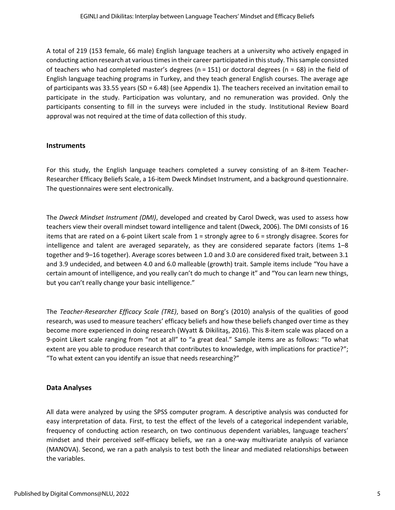A total of 219 (153 female, 66 male) English language teachers at a university who actively engaged in conducting action research at various times in their career participated in this study. This sample consisted of teachers who had completed master's degrees ( $n = 151$ ) or doctoral degrees ( $n = 68$ ) in the field of English language teaching programs in Turkey, and they teach general English courses. The average age of participants was 33.55 years (SD = 6.48) (see Appendix 1). The teachers received an invitation email to participate in the study. Participation was voluntary, and no remuneration was provided. Only the participants consenting to fill in the surveys were included in the study. Institutional Review Board approval was not required at the time of data collection of this study.

#### **Instruments**

For this study, the English language teachers completed a survey consisting of an 8-item Teacher-Researcher Efficacy Beliefs Scale, a 16-item Dweck Mindset Instrument, and a background questionnaire. The questionnaires were sent electronically.

The *Dweck Mindset Instrument (DMI)*, developed and created by Carol Dweck, was used to assess how teachers view their overall mindset toward intelligence and talent (Dweck, 2006). The DMI consists of 16 items that are rated on a 6-point Likert scale from 1 = strongly agree to 6 = strongly disagree. Scores for intelligence and talent are averaged separately, as they are considered separate factors (items 1–8 together and 9–16 together). Average scores between 1.0 and 3.0 are considered fixed trait, between 3.1 and 3.9 undecided, and between 4.0 and 6.0 malleable (growth) trait. Sample items include "You have a certain amount of intelligence, and you really can't do much to change it" and "You can learn new things, but you can't really change your basic intelligence."

The *Teacher-Researcher Efficacy Scale (TRE)*, based on Borg's (2010) analysis of the qualities of good research, was used to measure teachers' efficacy beliefs and how these beliefs changed over time as they become more experienced in doing research (Wyatt & Dikilitaş, 2016). This 8-item scale was placed on a 9-point Likert scale ranging from "not at all" to "a great deal." Sample items are as follows: "To what extent are you able to produce research that contributes to knowledge, with implications for practice?"; "To what extent can you identify an issue that needs researching?"

#### **Data Analyses**

All data were analyzed by using the SPSS computer program. A descriptive analysis was conducted for easy interpretation of data. First, to test the effect of the levels of a categorical independent variable, frequency of conducting action research, on two continuous dependent variables, language teachers' mindset and their perceived self-efficacy beliefs, we ran a one-way multivariate analysis of variance (MANOVA). Second, we ran a path analysis to test both the linear and mediated relationships between the variables.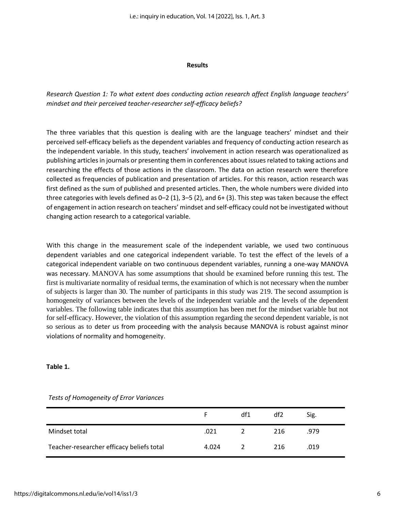#### **Results**

*Research Question 1: To what extent does conducting action research affect English language teachers' mindset and their perceived teacher-researcher self-efficacy beliefs?* 

The three variables that this question is dealing with are the language teachers' mindset and their perceived self-efficacy beliefs as the dependent variables and frequency of conducting action research as the independent variable. In this study, teachers' involvement in action research was operationalized as publishing articles in journals or presenting them in conferences about issues related to taking actions and researching the effects of those actions in the classroom. The data on action research were therefore collected as frequencies of publication and presentation of articles. For this reason, action research was first defined as the sum of published and presented articles. Then, the whole numbers were divided into three categories with levels defined as  $0-2$  (1),  $3-5$  (2), and  $6+$  (3). This step was taken because the effect of engagement in action research on teachers' mindset and self-efficacy could not be investigated without changing action research to a categorical variable.

With this change in the measurement scale of the independent variable, we used two continuous dependent variables and one categorical independent variable. To test the effect of the levels of a categorical independent variable on two continuous dependent variables, running a one-way MANOVA was necessary. MANOVA has some assumptions that should be examined before running this test. The first is multivariate normality of residual terms, the examination of which is not necessary when the number of subjects is larger than 30. The number of participants in this study was 219. The second assumption is homogeneity of variances between the levels of the independent variable and the levels of the dependent variables. The following table indicates that this assumption has been met for the mindset variable but not for self-efficacy. However, the violation of this assumption regarding the second dependent variable, is not so serious as to deter us from proceeding with the analysis because MANOVA is robust against minor violations of normality and homogeneity.

#### **Table 1.**

|                                           |       | df1 | df2 | Sig. |
|-------------------------------------------|-------|-----|-----|------|
| Mindset total                             | .021  |     | 216 | .979 |
| Teacher-researcher efficacy beliefs total | 4.024 |     | 216 | .019 |

*Tests of Homogeneity of Error Variances*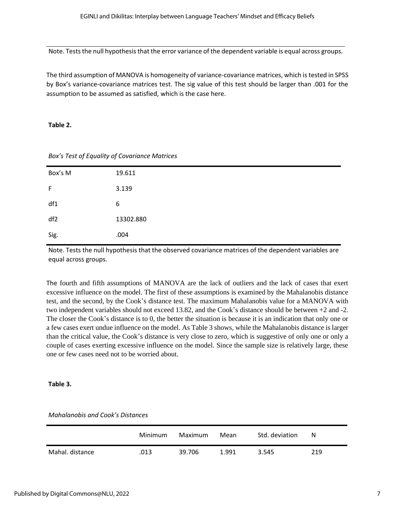Note. Tests the null hypothesis that the error variance of the dependent variable is equal across groups.

The third assumption of MANOVA is homogeneity of variance-covariance matrices, which is tested in SPSS by Box's variance-covariance matrices test. The sig value of this test should be larger than .001 for the assumption to be assumed as satisfied, which is the case here.

#### **Table 2.**

| Box's M<br>19.611<br>F.<br>3.139<br>df1<br>6<br>df2<br>13302.880<br>Sig.<br>.004 |  |
|----------------------------------------------------------------------------------|--|
|                                                                                  |  |
|                                                                                  |  |
|                                                                                  |  |
|                                                                                  |  |
|                                                                                  |  |

*Box's Test of Equality of Covariance Matrices*

Note. Tests the null hypothesis that the observed covariance matrices of the dependent variables are equal across groups.

The fourth and fifth assumptions of MANOVA are the lack of outliers and the lack of cases that exert excessive influence on the model. The first of these assumptions is examined by the Mahalanobis distance test, and the second, by the Cook's distance test. The maximum Mahalanobis value for a MANOVA with two independent variables should not exceed 13.82, and the Cook's distance should be between +2 and -2. The closer the Cook's distance is to 0, the better the situation is because it is an indication that only one or a few cases exert undue influence on the model. As Table 3 shows, while the Mahalanobis distance is larger than the critical value, the Cook's distance is very close to zero, which is suggestive of only one or only a couple of cases exerting excessive influence on the model. Since the sample size is relatively large, these one or few cases need not to be worried about.

#### **Table 3.**

#### *Mahalanobis and Cook's Distances*

|                 | Minimum | Maximum | Mean  | Std. deviation | N   |
|-----------------|---------|---------|-------|----------------|-----|
| Mahal. distance | .013    | 39.706  | 1.991 | 3.545          | 219 |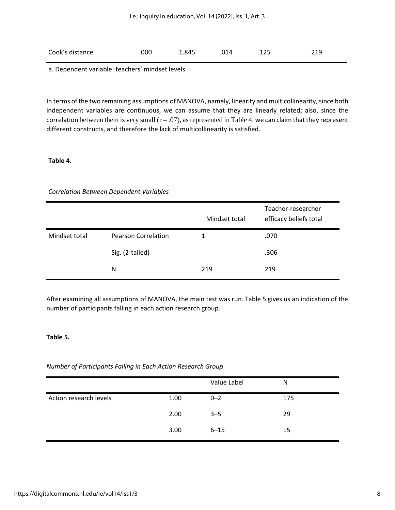| Cook's distance | .000 | 1.845 | .014 | 219 |
|-----------------|------|-------|------|-----|
|                 |      |       |      |     |

a. Dependent variable: teachers' mindset levels

In terms of the two remaining assumptions of MANOVA, namely, linearity and multicollinearity, since both independent variables are continuous, we can assume that they are linearly related; also, since the correlation between them is very small ( $r = .07$ ), as represented in Table 4, we can claim that they represent different constructs, and therefore the lack of multicollinearity is satisfied.

#### **Table 4.**

#### *Correlation Between Dependent Variables*

|               |                            | Mindset total | Teacher-researcher<br>efficacy beliefs total |
|---------------|----------------------------|---------------|----------------------------------------------|
| Mindset total | <b>Pearson Correlation</b> |               | .070                                         |
|               | Sig. (2-tailed)            |               | .306                                         |
|               | N                          | 219           | 219                                          |

After examining all assumptions of MANOVA, the main test was run. Table 5 gives us an indication of the number of participants falling in each action research group.

#### **Table 5.**

*Number of Participants Falling in Each Action Research Group*

|                        |      | Value Label | N   |
|------------------------|------|-------------|-----|
| Action research levels | 1.00 | $0 - 2$     | 175 |
|                        | 2.00 | $3 - 5$     | 29  |
|                        | 3.00 | $6 - 15$    | 15  |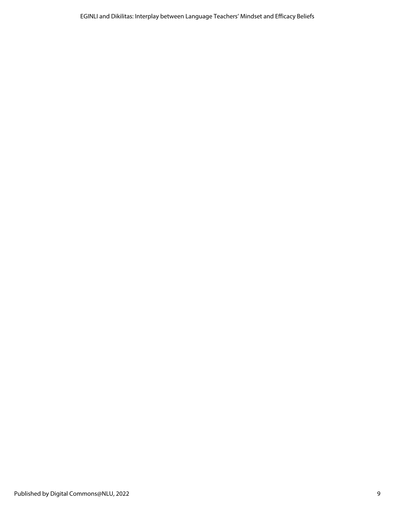EGINLI and Dikilitas: Interplay between Language Teachers' Mindset and Efficacy Beliefs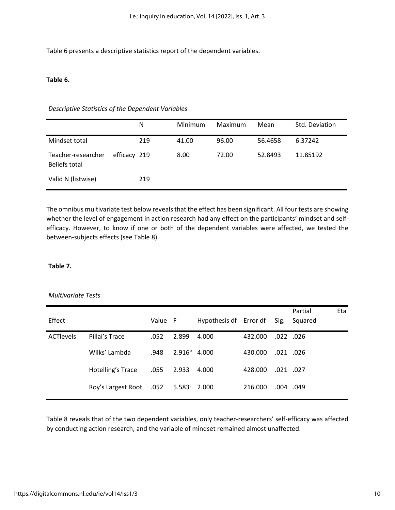Table 6 presents a descriptive statistics report of the dependent variables.

#### **Table 6.**

#### *Descriptive Statistics of the Dependent Variables*

|                                     |              | N   | Minimum | Maximum | Mean    | Std. Deviation |
|-------------------------------------|--------------|-----|---------|---------|---------|----------------|
| Mindset total                       |              | 219 | 41.00   | 96.00   | 56.4658 | 6.37242        |
| Teacher-researcher<br>Beliefs total | efficacy 219 |     | 8.00    | 72.00   | 52.8493 | 11.85192       |
| Valid N (listwise)                  |              | 219 |         |         |         |                |

The omnibus multivariate test below reveals that the effect has been significant. All four tests are showing whether the level of engagement in action research had any effect on the participants' mindset and selfefficacy. However, to know if one or both of the dependent variables were affected, we tested the between-subjects effects (see Table 8).

#### **Table 7.**

#### *Multivariate Tests*

| Effect           |                    | Value | - F             | Hypothesis df Error df |         | Sig.      | Partial<br>Squared | Eta |
|------------------|--------------------|-------|-----------------|------------------------|---------|-----------|--------------------|-----|
| <b>ACTIevels</b> | Pillai's Trace     | .052  | 2.899           | 4.000                  | 432.000 |           | $.022$ $.026$      |     |
|                  | Wilks' Lambda      | .948  | $2.916^b$ 4.000 |                        | 430.000 |           | .021 .026          |     |
|                  | Hotelling's Trace  | .055  | 2.933           | 4.000                  | 428.000 | .021 .027 |                    |     |
|                  | Roy's Largest Root | .052  | 5.583c          | 2.000                  | 216.000 |           | .004 .049          |     |

Table 8 reveals that of the two dependent variables, only teacher-researchers' self-efficacy was affected by conducting action research, and the variable of mindset remained almost unaffected.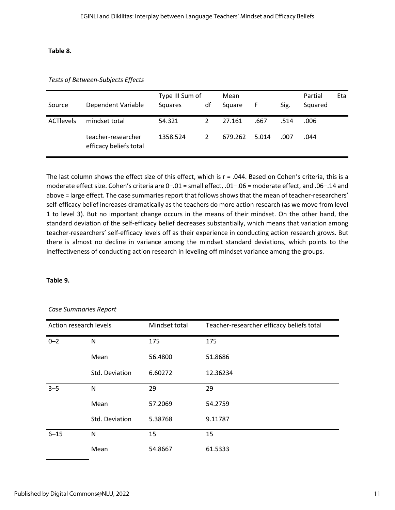#### **Table 8.**

| Source           | Dependent Variable                           | Type III Sum of<br>Squares | df | Mean<br>Square | F.    | Sig. | Partial<br>Squared | Eta |
|------------------|----------------------------------------------|----------------------------|----|----------------|-------|------|--------------------|-----|
| <b>ACTIevels</b> | mindset total                                | 54.321                     | 2  | 27.161         | .667  | .514 | .006               |     |
|                  | teacher-researcher<br>efficacy beliefs total | 1358.524                   |    | 679.262        | 5.014 | .007 | .044               |     |

#### *Tests of Between-Subjects Effects*

The last column shows the effect size of this effect, which is r = .044. Based on Cohen's criteria, this is a moderate effect size. Cohen's criteria are 0–.01 = small effect, .01–.06 = moderate effect, and .06–.14 and above = large effect. The case summaries report that follows shows that the mean of teacher-researchers' self-efficacy belief increases dramatically as the teachers do more action research (as we move from level 1 to level 3). But no important change occurs in the means of their mindset. On the other hand, the standard deviation of the self-efficacy belief decreases substantially, which means that variation among teacher-researchers' self-efficacy levels off as their experience in conducting action research grows. But there is almost no decline in variance among the mindset standard deviations, which points to the ineffectiveness of conducting action research in leveling off mindset variance among the groups.

#### **Table 9.**

| Action research levels |                | Mindset total | Teacher-researcher efficacy beliefs total |
|------------------------|----------------|---------------|-------------------------------------------|
| $0 - 2$                | N              | 175           | 175                                       |
|                        | Mean           | 56.4800       | 51.8686                                   |
|                        | Std. Deviation | 6.60272       | 12.36234                                  |
| $3 - 5$                | N              | 29            | 29                                        |
|                        | Mean           | 57.2069       | 54.2759                                   |
|                        | Std. Deviation | 5.38768       | 9.11787                                   |
| $6 - 15$               | N              | 15            | 15                                        |
|                        | Mean           | 54.8667       | 61.5333                                   |

#### *Case Summaries Report*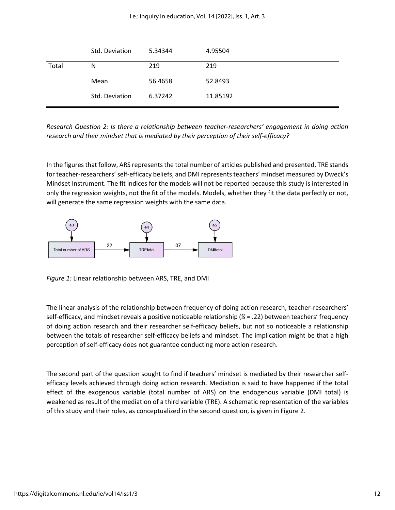i.e.: inquiry in education, Vol. 14 [2022], Iss. 1, Art. 3

|       | Std. Deviation | 5.34344 | 4.95504  |
|-------|----------------|---------|----------|
| Total | N              | 219     | 219      |
|       | Mean           | 56.4658 | 52.8493  |
|       | Std. Deviation | 6.37242 | 11.85192 |

*Research Question 2: Is there a relationship between teacher-researchers' engagement in doing action research and their mindset that is mediated by their perception of their self-efficacy?* 

In the figures that follow, ARS represents the total number of articles published and presented, TRE stands for teacher-researchers' self-efficacy beliefs, and DMI represents teachers' mindset measured by Dweck's Mindset Instrument. The fit indices for the models will not be reported because this study is interested in only the regression weights, not the fit of the models. Models, whether they fit the data perfectly or not, will generate the same regression weights with the same data.



*Figure 1:* Linear relationship between ARS, TRE, and DMI

The linear analysis of the relationship between frequency of doing action research, teacher-researchers' self-efficacy, and mindset reveals a positive noticeable relationship  $(S = .22)$  between teachers' frequency of doing action research and their researcher self-efficacy beliefs, but not so noticeable a relationship between the totals of researcher self-efficacy beliefs and mindset. The implication might be that a high perception of self-efficacy does not guarantee conducting more action research.

The second part of the question sought to find if teachers' mindset is mediated by their researcher selfefficacy levels achieved through doing action research. Mediation is said to have happened if the total effect of the exogenous variable (total number of ARS) on the endogenous variable (DMI total) is weakened as result of the mediation of a third variable (TRE). A schematic representation of the variables of this study and their roles, as conceptualized in the second question, is given in Figure 2.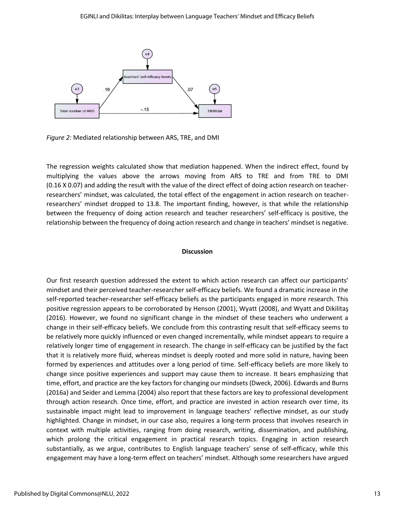

*Figure 2:* Mediated relationship between ARS, TRE, and DMI

The regression weights calculated show that mediation happened. When the indirect effect, found by multiplying the values above the arrows moving from ARS to TRE and from TRE to DMI (0.16 X 0.07) and adding the result with the value of the direct effect of doing action research on teacherresearchers' mindset, was calculated, the total effect of the engagement in action research on teacherresearchers' mindset dropped to 13.8. The important finding, however, is that while the relationship between the frequency of doing action research and teacher researchers' self-efficacy is positive, the relationship between the frequency of doing action research and change in teachers' mindset is negative.

#### **Discussion**

Our first research question addressed the extent to which action research can affect our participants' mindset and their perceived teacher-researcher self-efficacy beliefs. We found a dramatic increase in the self-reported teacher-researcher self-efficacy beliefs as the participants engaged in more research. This positive regression appears to be corroborated by Henson (2001), Wyatt (2008), and Wyatt and Dikilitaş (2016). However, we found no significant change in the mindset of these teachers who underwent a change in their self-efficacy beliefs. We conclude from this contrasting result that self-efficacy seems to be relatively more quickly influenced or even changed incrementally, while mindset appears to require a relatively longer time of engagement in research. The change in self-efficacy can be justified by the fact that it is relatively more fluid, whereas mindset is deeply rooted and more solid in nature, having been formed by experiences and attitudes over a long period of time. Self-efficacy beliefs are more likely to change since positive experiences and support may cause them to increase. It bears emphasizing that time, effort, and practice are the key factors for changing our mindsets (Dweck, 2006). Edwards and Burns (2016a) and Seider and Lemma (2004) also report that these factors are key to professional development through action research. Once time, effort, and practice are invested in action research over time, its sustainable impact might lead to improvement in language teachers' reflective mindset, as our study highlighted. Change in mindset, in our case also, requires a long-term process that involves research in context with multiple activities, ranging from doing research, writing, dissemination, and publishing, which prolong the critical engagement in practical research topics. Engaging in action research substantially, as we argue, contributes to English language teachers' sense of self-efficacy, while this engagement may have a long-term effect on teachers' mindset. Although some researchers have argued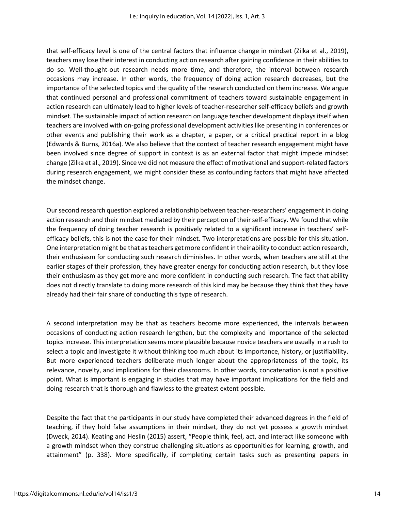that self-efficacy level is one of the central factors that influence change in mindset (Zilka et al., 2019), teachers may lose their interest in conducting action research after gaining confidence in their abilities to do so. Well-thought-out research needs more time, and therefore, the interval between research occasions may increase. In other words, the frequency of doing action research decreases, but the importance of the selected topics and the quality of the research conducted on them increase. We argue that continued personal and professional commitment of teachers toward sustainable engagement in action research can ultimately lead to higher levels of teacher-researcher self-efficacy beliefs and growth mindset. The sustainable impact of action research on language teacher development displays itself when teachers are involved with on-going professional development activities like presenting in conferences or other events and publishing their work as a chapter, a paper, or a critical practical report in a blog (Edwards & Burns, 2016a). We also believe that the context of teacher research engagement might have been involved since degree of support in context is as an external factor that might impede mindset change (Zilka et al., 2019). Since we did not measure the effect of motivational and support-related factors during research engagement, we might consider these as confounding factors that might have affected the mindset change.

Our second research question explored a relationship between teacher-researchers' engagement in doing action research and their mindset mediated by their perception of their self-efficacy. We found that while the frequency of doing teacher research is positively related to a significant increase in teachers' selfefficacy beliefs, this is not the case for their mindset. Two interpretations are possible for this situation. One interpretation might be that as teachers get more confident in their ability to conduct action research, their enthusiasm for conducting such research diminishes. In other words, when teachers are still at the earlier stages of their profession, they have greater energy for conducting action research, but they lose their enthusiasm as they get more and more confident in conducting such research. The fact that ability does not directly translate to doing more research of this kind may be because they think that they have already had their fair share of conducting this type of research.

A second interpretation may be that as teachers become more experienced, the intervals between occasions of conducting action research lengthen, but the complexity and importance of the selected topics increase. This interpretation seems more plausible because novice teachers are usually in a rush to select a topic and investigate it without thinking too much about its importance, history, or justifiability. But more experienced teachers deliberate much longer about the appropriateness of the topic, its relevance, novelty, and implications for their classrooms. In other words, concatenation is not a positive point. What is important is engaging in studies that may have important implications for the field and doing research that is thorough and flawless to the greatest extent possible.

Despite the fact that the participants in our study have completed their advanced degrees in the field of teaching, if they hold false assumptions in their mindset, they do not yet possess a growth mindset (Dweck, 2014). Keating and Heslin (2015) assert, "People think, feel, act, and interact like someone with a growth mindset when they construe challenging situations as opportunities for learning, growth, and attainment" (p. 338). More specifically, if completing certain tasks such as presenting papers in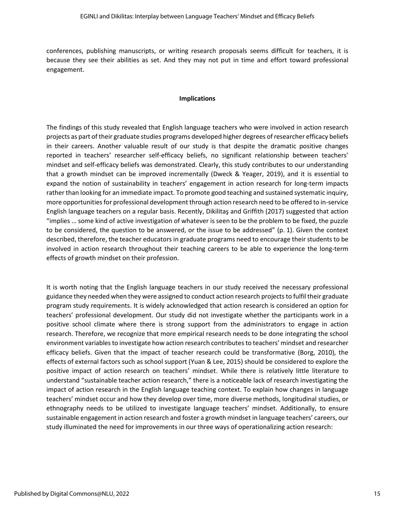conferences, publishing manuscripts, or writing research proposals seems difficult for teachers, it is because they see their abilities as set. And they may not put in time and effort toward professional engagement.

#### **Implications**

The findings of this study revealed that English language teachers who were involved in action research projects as part of their graduate studies programs developed higher degrees of researcher efficacy beliefs in their careers. Another valuable result of our study is that despite the dramatic positive changes reported in teachers' researcher self-efficacy beliefs, no significant relationship between teachers' mindset and self-efficacy beliefs was demonstrated. Clearly, this study contributes to our understanding that a growth mindset can be improved incrementally (Dweck & Yeager, 2019), and it is essential to expand the notion of sustainability in teachers' engagement in action research for long-term impacts rather than looking for an immediate impact. To promote good teaching and sustained systematic inquiry, more opportunities for professional development through action research need to be offered to in-service English language teachers on a regular basis. Recently, Dikilitaş and Griffith (2017) suggested that action "implies … some kind of active investigation of whatever is seen to be the problem to be fixed, the puzzle to be considered, the question to be answered, or the issue to be addressed" (p. 1). Given the context described, therefore, the teacher educators in graduate programs need to encourage their students to be involved in action research throughout their teaching careers to be able to experience the long-term effects of growth mindset on their profession.

It is worth noting that the English language teachers in our study received the necessary professional guidance they needed when they were assigned to conduct action research projects to fulfil their graduate program study requirements. It is widely acknowledged that action research is considered an option for teachers' professional development. Our study did not investigate whether the participants work in a positive school climate where there is strong support from the administrators to engage in action research. Therefore, we recognize that more empirical research needs to be done integrating the school environment variables to investigate how action research contributesto teachers' mindset and researcher efficacy beliefs. Given that the impact of teacher research could be transformative (Borg, 2010), the effects of external factors such as school support (Yuan & Lee, 2015) should be considered to explore the positive impact of action research on teachers' mindset. While there is relatively little literature to understand "sustainable teacher action research," there is a noticeable lack of research investigating the impact of action research in the English language teaching context. To explain how changes in language teachers' mindset occur and how they develop over time, more diverse methods, longitudinal studies, or ethnography needs to be utilized to investigate language teachers' mindset. Additionally, to ensure sustainable engagement in action research and foster a growth mindset in language teachers' careers, our study illuminated the need for improvements in our three ways of operationalizing action research: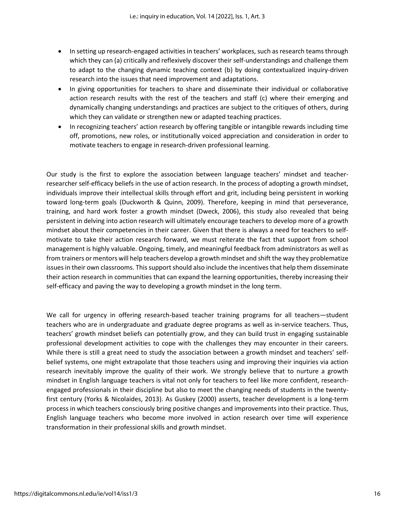- In setting up research-engaged activities in teachers' workplaces, such as research teams through which they can (a) critically and reflexively discover their self-understandings and challenge them to adapt to the changing dynamic teaching context (b) by doing contextualized inquiry-driven research into the issues that need improvement and adaptations.
- In giving opportunities for teachers to share and disseminate their individual or collaborative action research results with the rest of the teachers and staff (c) where their emerging and dynamically changing understandings and practices are subject to the critiques of others, during which they can validate or strengthen new or adapted teaching practices.
- In recognizing teachers' action research by offering tangible or intangible rewards including time off, promotions, new roles, or institutionally voiced appreciation and consideration in order to motivate teachers to engage in research-driven professional learning.

Our study is the first to explore the association between language teachers' mindset and teacherresearcher self-efficacy beliefs in the use of action research. In the process of adopting a growth mindset, individuals improve their intellectual skills through effort and grit, including being persistent in working toward long-term goals (Duckworth & Quinn, 2009). Therefore, keeping in mind that perseverance, training, and hard work foster a growth mindset (Dweck, 2006), this study also revealed that being persistent in delving into action research will ultimately encourage teachers to develop more of a growth mindset about their competencies in their career. Given that there is always a need for teachers to selfmotivate to take their action research forward, we must reiterate the fact that support from school management is highly valuable. Ongoing, timely, and meaningful feedback from administrators as well as from trainers or mentors will help teachers develop a growth mindset and shift the way they problematize issues in their own classrooms. This support should also include the incentives that help them disseminate their action research in communities that can expand the learning opportunities, thereby increasing their self-efficacy and paving the way to developing a growth mindset in the long term.

We call for urgency in offering research-based teacher training programs for all teachers—student teachers who are in undergraduate and graduate degree programs as well as in-service teachers. Thus, teachers' growth mindset beliefs can potentially grow, and they can build trust in engaging sustainable professional development activities to cope with the challenges they may encounter in their careers. While there is still a great need to study the association between a growth mindset and teachers' selfbelief systems, one might extrapolate that those teachers using and improving their inquiries via action research inevitably improve the quality of their work. We strongly believe that to nurture a growth mindset in English language teachers is vital not only for teachers to feel like more confident, researchengaged professionals in their discipline but also to meet the changing needs of students in the twentyfirst century (Yorks & Nicolaides, 2013). As Guskey (2000) asserts, teacher development is a long-term process in which teachers consciously bring positive changes and improvements into their practice. Thus, English language teachers who become more involved in action research over time will experience transformation in their professional skills and growth mindset.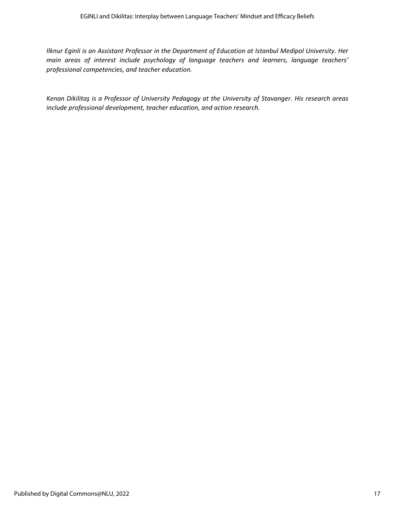*Ilknur Eginli is an Assistant Professor in the Department of Education at Istanbul Medipol University. Her main areas of interest include psychology of language teachers and learners, language teachers' professional competencies, and teacher education.*

*Kenan Dikilitaş is a Professor of University Pedagogy at the University of Stavanger. His research areas include professional development, teacher education, and action research.*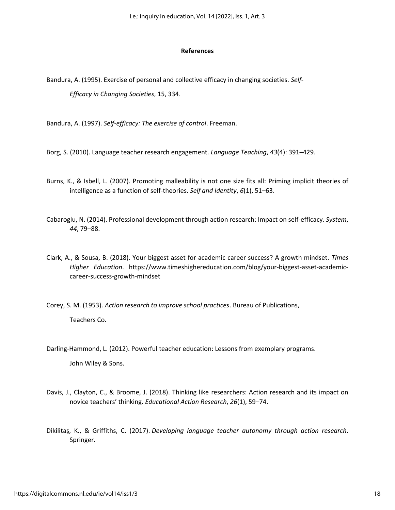#### **References**

Bandura, A. (1995). Exercise of personal and collective efficacy in changing societies. *Self-Efficacy in Changing Societies*, 15, 334.

Bandura, A. (1997). *Self-efficacy: The exercise of control*. Freeman.

Borg, S. (2010). Language teacher research engagement. *Language Teaching*, *43*(4): 391–429.

Burns, K., & Isbell, L. (2007). Promoting malleability is not one size fits all: Priming implicit theories of intelligence as a function of self-theories. *Self and Identity*, *6*(1), 51–63.

Cabaroglu, N. (2014). Professional development through action research: Impact on self-efficacy. *System*, *44*, 79–88.

Clark, A., & Sousa, B. (2018). Your biggest asset for academic career success? A growth mindset. *Times Higher Education*. https://www.timeshighereducation.com/blog/your-biggest-asset-academiccareer-success-growth-mindset

Corey, S. M. (1953). *Action research to improve school practices*. Bureau of Publications, Teachers Co.

Darling-Hammond, L. (2012). Powerful teacher education: Lessons from exemplary programs. John Wiley & Sons.

- Davis, J., Clayton, C., & Broome, J. (2018). Thinking like researchers: Action research and its impact on novice teachers' thinking. *Educational Action Research*, *26*(1), 59–74.
- Dikilitaş, K., & Griffiths, C. (2017). *Developing language teacher autonomy through action research*. Springer.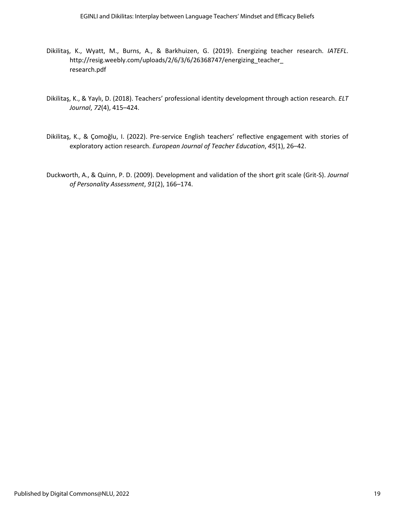- Dikilitaş, K., Wyatt, M., Burns, A., & Barkhuizen, G. (2019). Energizing teacher research. *IATEFL*. http://resig.weebly.com/uploads/2/6/3/6/26368747/energizing\_teacher\_ research.pdf
- Dikilitaş, K., & Yaylı, D. (2018). Teachers' professional identity development through action research. *ELT Journal*, *72*(4), 415–424.
- Dikilitaş, K., & Çomoğlu, I. (2022). Pre-service English teachers' reflective engagement with stories of exploratory action research. *European Journal of Teacher Education*, *45*(1), 26–42.
- Duckworth, A., & Quinn, P. D. (2009). Development and validation of the short grit scale (Grit-S). *Journal of Personality Assessment*, *91*(2), 166–174.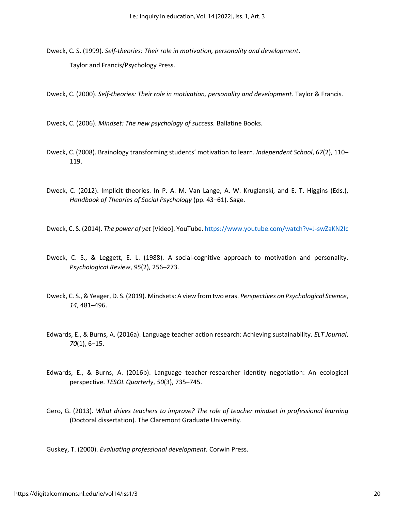Dweck, C. S. (1999). *Self-theories: Their role in motivation, personality and development*. Taylor and Francis/Psychology Press.

Dweck, C. (2000). *Self-theories: Their role in motivation, personality and development.* Taylor & Francis.

Dweck, C. (2006). *Mindset: The new psychology of success.* Ballatine Books.

- Dweck, C. (2008). Brainology transforming students' motivation to learn. *Independent School*, *67*(2), 110– 119.
- Dweck, C. (2012). Implicit theories. In P. A. M. Van Lange, A. W. Kruglanski, and E. T. Higgins (Eds.), *Handbook of Theories of Social Psychology* (pp. 43–61). Sage.

Dweck, C. S. (2014). *The power of yet* [Video]. YouTube. <https://www.youtube.com/watch?v=J-swZaKN2Ic>

- Dweck, C. S., & Leggett, E. L. (1988). A social-cognitive approach to motivation and personality. *Psychological Review*, *95*(2), 256–273.
- Dweck, C. S.,& Yeager, D. S. (2019). Mindsets: A view from two eras. *Perspectives on Psychological Science*, *14*, 481–496.
- Edwards, E., & Burns, A. (2016a). Language teacher action research: Achieving sustainability. *ELT Journal*, *70*(1), 6–15.
- Edwards, E., & Burns, A. (2016b). Language teacher-researcher identity negotiation: An ecological perspective. *TESOL Quarterly*, *50*(3), 735–745.
- Gero, G. (2013). *What drives teachers to improve? The role of teacher mindset in professional learning* (Doctoral dissertation). The Claremont Graduate University.

Guskey, T. (2000). *Evaluating professional development.* Corwin Press.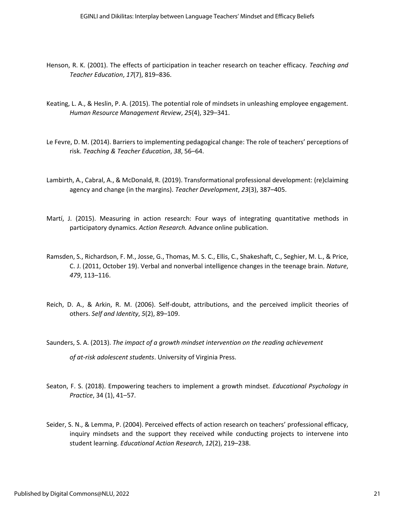- Henson, R. K. (2001). The effects of participation in teacher research on teacher efficacy. *Teaching and Teacher Education*, *17*(7), 819–836.
- Keating, L. A., & Heslin, P. A. (2015). The potential role of mindsets in unleashing employee engagement. *Human Resource Management Review*, *25*(4), 329–341.
- Le Fevre, D. M. (2014). Barriers to implementing pedagogical change: The role of teachers' perceptions of risk. *Teaching & Teacher Education*, *38*, 56–64.
- Lambirth, A., Cabral, A., & McDonald, R. (2019). Transformational professional development: (re)claiming agency and change (in the margins). *Teacher Development*, *23*(3), 387–405.
- Martí, J. (2015). Measuring in action research: Four ways of integrating quantitative methods in participatory dynamics. *Action Research.* Advance online publication.
- Ramsden, S., Richardson, F. M., Josse, G., Thomas, M. S. C., Ellis, C., Shakeshaft, C., Seghier, M. L., & Price, C. J. (2011, October 19). Verbal and nonverbal intelligence changes in the teenage brain. *Nature*, *479*, 113–116.
- Reich, D. A., & Arkin, R. M. (2006). Self-doubt, attributions, and the perceived implicit theories of others. *Self and Identity*, *5*(2), 89–109.
- Saunders, S. A. (2013). *The impact of a growth mindset intervention on the reading achievement of at-risk adolescent students*. University of Virginia Press.
- Seaton, F. S. (2018). Empowering teachers to implement a growth mindset. *Educational Psychology in Practice*, 34 (1), 41–57.
- Seider, S. N., & Lemma, P. (2004). Perceived effects of action research on teachers' professional efficacy, inquiry mindsets and the support they received while conducting projects to intervene into student learning. *Educational Action Research*, *12*(2), 219–238.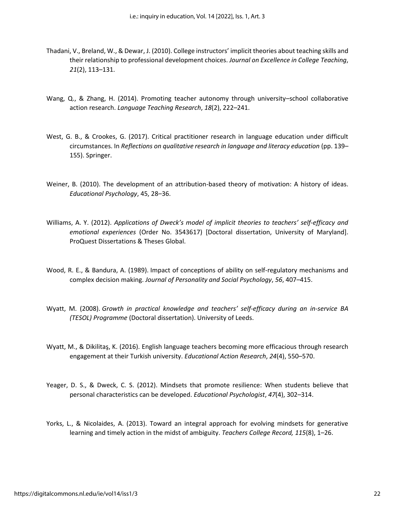- Thadani, V., Breland, W., & Dewar, J. (2010). College instructors' implicit theories about teaching skills and their relationship to professional development choices. *Journal on Excellence in College Teaching*, *21*(2), 113–131.
- Wang, Q., & Zhang, H. (2014). Promoting teacher autonomy through university–school collaborative action research. *Language Teaching Research*, *18*(2), 222–241.
- West, G. B., & Crookes, G. (2017). Critical practitioner research in language education under difficult circumstances. In *Reflections on qualitative research in language and literacy education* (pp. 139– 155). Springer.
- Weiner, B. (2010). The development of an attribution-based theory of motivation: A history of ideas. *Educational Psychology*, 45, 28–36.
- Williams, A. Y. (2012). *Applications of Dweck's model of implicit theories to teachers' self-efficacy and emotional experiences* (Order No. 3543617) [Doctoral dissertation, University of Maryland]. ProQuest Dissertations & Theses Global.
- Wood, R. E., & Bandura, A. (1989). Impact of conceptions of ability on self-regulatory mechanisms and complex decision making. *Journal of Personality and Social Psychology*, *56*, 407–415.
- Wyatt, M. (2008). *Growth in practical knowledge and teachers' self-efficacy during an in-service BA (TESOL) Programme* (Doctoral dissertation). University of Leeds.
- Wyatt, M., & Dikilitaş, K. (2016). English language teachers becoming more efficacious through research engagement at their Turkish university. *Educational Action Research*, *24*(4), 550–570.
- Yeager, D. S., & Dweck, C. S. (2012). Mindsets that promote resilience: When students believe that personal characteristics can be developed. *Educational Psychologist*, *47*(4), 302–314.
- Yorks, L., & Nicolaides, A. (2013). Toward an integral approach for evolving mindsets for generative learning and timely action in the midst of ambiguity. *Teachers College Record, 115*(8), 1–26.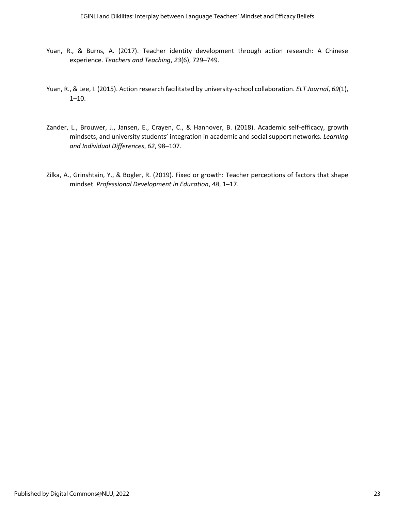- Yuan, R., & Burns, A. (2017). Teacher identity development through action research: A Chinese experience. *Teachers and Teaching*, *23*(6), 729–749.
- Yuan, R., & Lee, I. (2015). Action research facilitated by university-school collaboration. *ELT Journal*, *69*(1), 1–10.
- Zander, L., Brouwer, J., Jansen, E., Crayen, C., & Hannover, B. (2018). Academic self-efficacy, growth mindsets, and university students' integration in academic and social support networks. *Learning and Individual Differences*, *62*, 98–107.
- Zilka, A., Grinshtain, Y., & Bogler, R. (2019). Fixed or growth: Teacher perceptions of factors that shape mindset. *Professional Development in Education*, *48*, 1–17.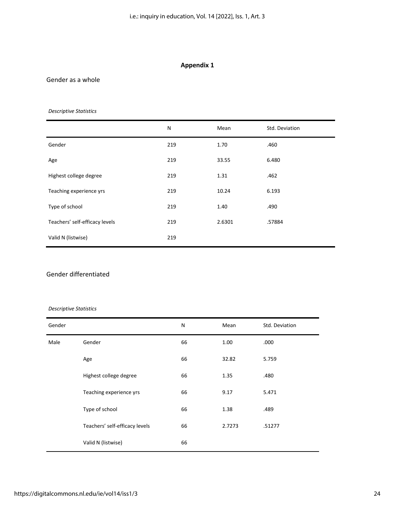#### **Appendix 1**

#### Gender as a whole

#### *Descriptive Statistics*

|                                | N   | Mean   | Std. Deviation |
|--------------------------------|-----|--------|----------------|
| Gender                         | 219 | 1.70   | .460           |
| Age                            | 219 | 33.55  | 6.480          |
| Highest college degree         | 219 | 1.31   | .462           |
| Teaching experience yrs        | 219 | 10.24  | 6.193          |
| Type of school                 | 219 | 1.40   | .490           |
| Teachers' self-efficacy levels | 219 | 2.6301 | .57884         |
| Valid N (listwise)             | 219 |        |                |

#### Gender differentiated

#### *Descriptive Statistics*

| Gender |                                | N  | Mean   | Std. Deviation |
|--------|--------------------------------|----|--------|----------------|
| Male   | Gender                         | 66 | 1.00   | .000           |
|        | Age                            | 66 | 32.82  | 5.759          |
|        | Highest college degree         | 66 | 1.35   | .480           |
|        | Teaching experience yrs        | 66 | 9.17   | 5.471          |
|        | Type of school                 | 66 | 1.38   | .489           |
|        | Teachers' self-efficacy levels | 66 | 2.7273 | .51277         |
|        | Valid N (listwise)             | 66 |        |                |